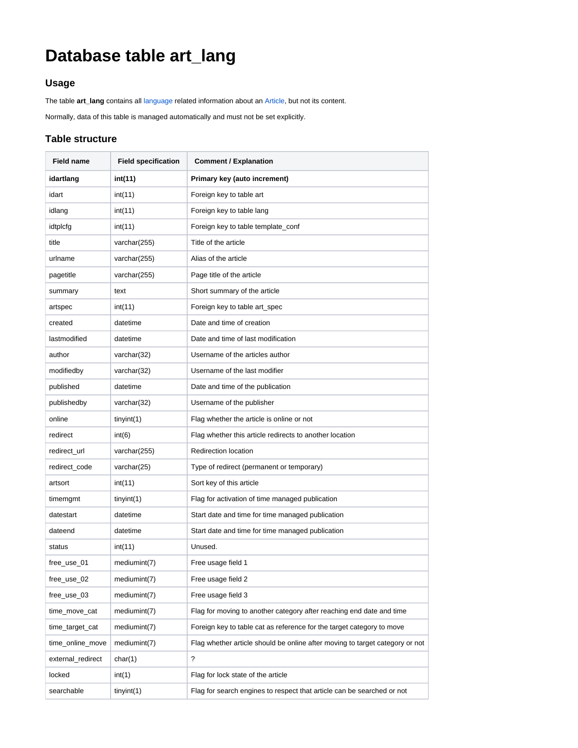# **Database table art\_lang**

### **Usage**

The table **art\_lang** contains all [language](https://docs.contenido.org/display/CONDEVE/Content+Structure) related information about an [Article,](https://docs.contenido.org/display/CONDEVE/Article) but not its content.

Normally, data of this table is managed automatically and must not be set explicitly.

#### **Table structure**

| <b>Field name</b> | <b>Field specification</b> | <b>Comment / Explanation</b>                                                 |
|-------------------|----------------------------|------------------------------------------------------------------------------|
| idartlang         | int(11)                    | Primary key (auto increment)                                                 |
| idart             | int(11)                    | Foreign key to table art                                                     |
| idlang            | int(11)                    | Foreign key to table lang                                                    |
| idtplcfg          | int(11)                    | Foreign key to table template_conf                                           |
| title             | varchar(255)               | Title of the article                                                         |
| urlname           | varchar(255)               | Alias of the article                                                         |
| pagetitle         | varchar(255)               | Page title of the article                                                    |
| summary           | text                       | Short summary of the article                                                 |
| artspec           | int(11)                    | Foreign key to table art_spec                                                |
| created           | datetime                   | Date and time of creation                                                    |
| lastmodified      | datetime                   | Date and time of last modification                                           |
| author            | varchar(32)                | Username of the articles author                                              |
| modifiedby        | varchar(32)                | Username of the last modifier                                                |
| published         | datetime                   | Date and time of the publication                                             |
| publishedby       | varchar(32)                | Username of the publisher                                                    |
| online            | tiny(1)                    | Flag whether the article is online or not                                    |
| redirect          | int(6)                     | Flag whether this article redirects to another location                      |
| redirect_url      | varchar(255)               | <b>Redirection location</b>                                                  |
| redirect_code     | varchar(25)                | Type of redirect (permanent or temporary)                                    |
| artsort           | int(11)                    | Sort key of this article                                                     |
| timemgmt          | tiny(1)                    | Flag for activation of time managed publication                              |
| datestart         | datetime                   | Start date and time for time managed publication                             |
| dateend           | datetime                   | Start date and time for time managed publication                             |
| status            | int(11)                    | Unused.                                                                      |
| free_use_01       | mediumint(7)               | Free usage field 1                                                           |
| free_use_02       | mediumint(7)               | Free usage field 2                                                           |
| free_use_03       | mediumint(7)               | Free usage field 3                                                           |
| time_move_cat     | mediumint(7)               | Flag for moving to another category after reaching end date and time         |
| time_target_cat   | mediumint(7)               | Foreign key to table cat as reference for the target category to move        |
| time_online_move  | mediumint(7)               | Flag whether article should be online after moving to target category or not |
| external_redirect | char(1)                    | ?                                                                            |
| locked            | int(1)                     | Flag for lock state of the article                                           |
| searchable        | tiny(1)                    | Flag for search engines to respect that article can be searched or not       |